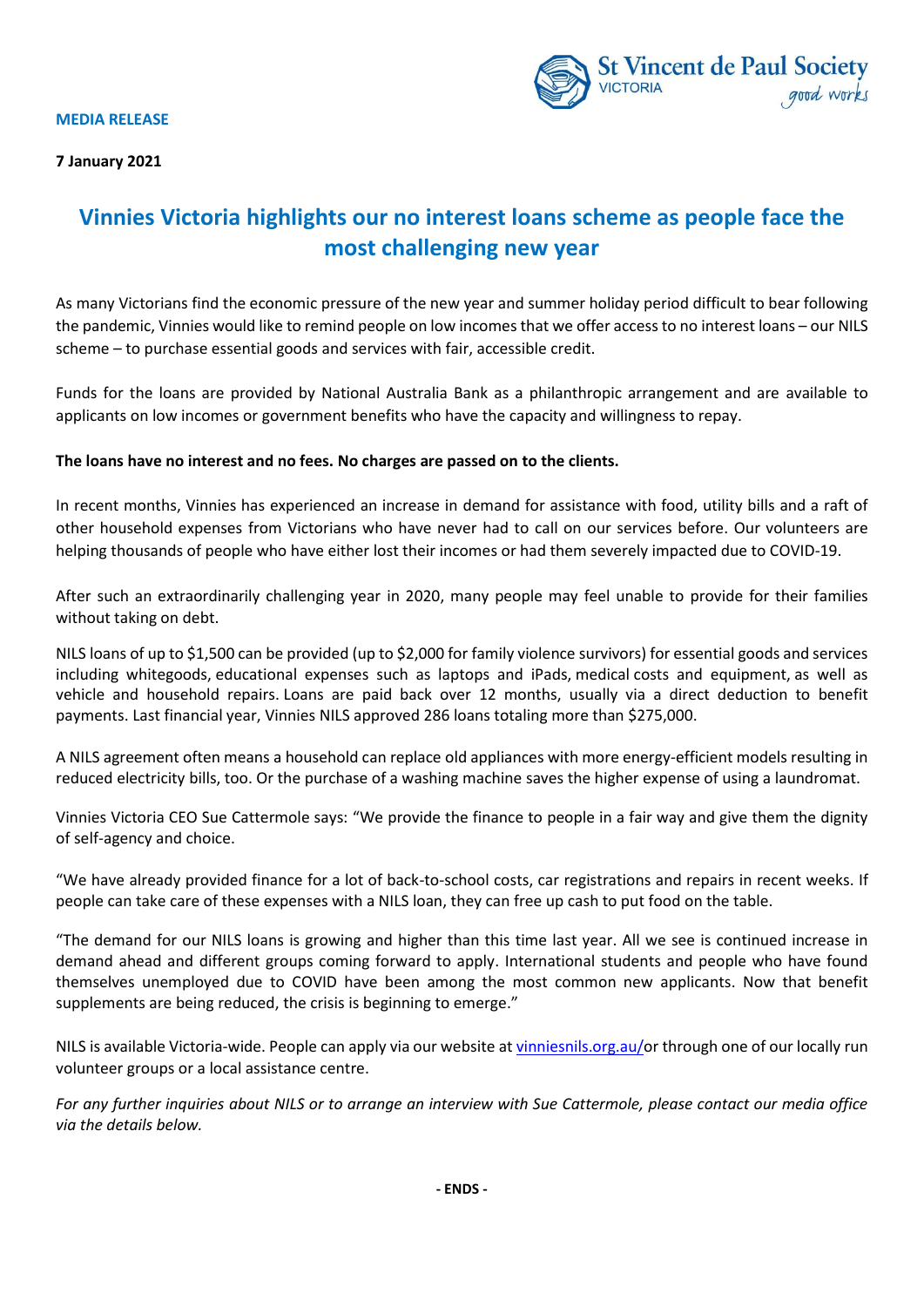



## **Vinnies Victoria highlights our no interest loans scheme as people face the most challenging new year**

As many Victorians find the economic pressure of the new year and summer holiday period difficult to bear following the pandemic, Vinnies would like to remind people on low incomes that we offer access to no interest loans – our NILS scheme – to purchase essential goods and services with fair, accessible credit.

Funds for the loans are provided by National Australia Bank as a philanthropic arrangement and are available to applicants on low incomes or government benefits who have the capacity and willingness to repay.

## **The loans have no interest and no fees. No charges are passed on to the clients.**

In recent months, Vinnies has experienced an increase in demand for assistance with food, utility bills and a raft of other household expenses from Victorians who have never had to call on our services before. Our volunteers are helping thousands of people who have either lost their incomes or had them severely impacted due to COVID-19.

After such an extraordinarily challenging year in 2020, many people may feel unable to provide for their families without taking on debt.

NILS loans of up to \$1,500 can be provided (up to \$2,000 for family violence survivors) for essential goods and services including whitegoods, educational expenses such as laptops and iPads, medical costs and equipment, as well as vehicle and household repairs. Loans are paid back over 12 months, usually via a direct deduction to benefit payments. Last financial year, Vinnies NILS approved 286 loans totaling more than \$275,000.

A NILS agreement often means a household can replace old appliances with more energy-efficient models resulting in reduced electricity bills, too. Or the purchase of a washing machine saves the higher expense of using a laundromat.

Vinnies Victoria CEO Sue Cattermole says: "We provide the finance to people in a fair way and give them the dignity of self-agency and choice.

"We have already provided finance for a lot of back-to-school costs, car registrations and repairs in recent weeks. If people can take care of these expenses with a NILS loan, they can free up cash to put food on the table.

"The demand for our NILS loans is growing and higher than this time last year. All we see is continued increase in demand ahead and different groups coming forward to apply. International students and people who have found themselves unemployed due to COVID have been among the most common new applicants. Now that benefit supplements are being reduced, the crisis is beginning to emerge."

NILS is available Victoria-wide. People can apply via our website at [vinniesnils.org.au/o](https://www.vinniesnils.org.au/)r through one of our locally run volunteer groups or a local assistance centre.

*For any further inquiries about NILS or to arrange an interview with Sue Cattermole, please contact our media office via the details below.*